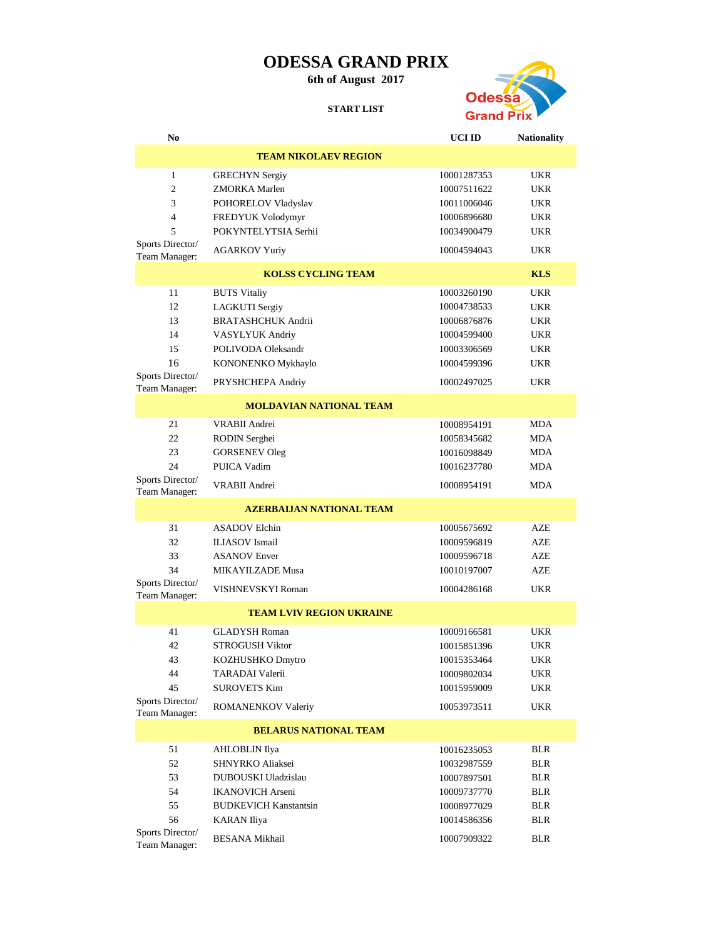## **ODESSA GRAND PRIX**

**6th of August 2017**

**START LIST**



| No                                |                                 | UCI ID      | <b>Nationality</b> |  |
|-----------------------------------|---------------------------------|-------------|--------------------|--|
|                                   | <b>TEAM NIKOLAEV REGION</b>     |             |                    |  |
| 1                                 | <b>GRECHYN</b> Sergiy           | 10001287353 | <b>UKR</b>         |  |
| 2                                 | ZMORKA Marlen                   | 10007511622 | <b>UKR</b>         |  |
| 3                                 | POHORELOV Vladyslav             | 10011006046 | <b>UKR</b>         |  |
| $\overline{4}$                    | FREDYUK Volodymyr               | 10006896680 | <b>UKR</b>         |  |
| 5                                 | POKYNTELYTSIA Serhii            | 10034900479 | <b>UKR</b>         |  |
| Sports Director/<br>Team Manager: | <b>AGARKOV Yuriy</b>            | 10004594043 | <b>UKR</b>         |  |
|                                   | <b>KOLSS CYCLING TEAM</b>       |             | <b>KLS</b>         |  |
| 11                                | <b>BUTS Vitaliy</b>             | 10003260190 | <b>UKR</b>         |  |
| 12                                | <b>LAGKUTI</b> Sergiy           | 10004738533 | <b>UKR</b>         |  |
| 13                                | <b>BRATASHCHUK Andrii</b>       | 10006876876 | <b>UKR</b>         |  |
| 14                                | VASYLYUK Andriy                 | 10004599400 | <b>UKR</b>         |  |
| 15                                | POLIVODA Oleksandr              | 10003306569 | <b>UKR</b>         |  |
| 16                                | KONONENKO Mykhaylo              | 10004599396 | <b>UKR</b>         |  |
| Sports Director/<br>Team Manager: | PRYSHCHEPA Andriy               | 10002497025 | UKR                |  |
|                                   | <b>MOLDAVIAN NATIONAL TEAM</b>  |             |                    |  |
| 21                                | <b>VRABII</b> Andrei            | 10008954191 | <b>MDA</b>         |  |
| 22                                | RODIN Serghei                   | 10058345682 | <b>MDA</b>         |  |
| 23                                | <b>GORSENEV Oleg</b>            | 10016098849 | <b>MDA</b>         |  |
| 24                                | PUICA Vadim                     | 10016237780 | <b>MDA</b>         |  |
| Sports Director/<br>Team Manager: | <b>VRABII</b> Andrei            | 10008954191 | <b>MDA</b>         |  |
| <b>AZERBALIAN NATIONAL TEAM</b>   |                                 |             |                    |  |
| 31                                | <b>ASADOV Elchin</b>            | 10005675692 | AZE                |  |
| 32                                | <b>ILIASOV</b> Ismail           | 10009596819 | AZE                |  |
| 33                                | <b>ASANOV Enver</b>             | 10009596718 | AZE                |  |
| 34                                | MIKAYILZADE Musa                | 10010197007 | AZE                |  |
| Sports Director/<br>Team Manager: | VISHNEVSKYI Roman               | 10004286168 | <b>UKR</b>         |  |
|                                   | <b>TEAM LVIV REGION UKRAINE</b> |             |                    |  |
| 41                                | <b>GLADYSH Roman</b>            | 10009166581 | <b>UKR</b>         |  |
| 42                                | <b>STROGUSH Viktor</b>          | 10015851396 | <b>UKR</b>         |  |
| 43                                | KOZHUSHKO Dmytro                | 10015353464 | <b>UKR</b>         |  |
| 44                                | <b>TARADAI</b> Valerii          | 10009802034 | UKR                |  |
| 45                                | <b>SUROVETS Kim</b>             | 10015959009 | UKR                |  |
| Sports Director/<br>Team Manager: | ROMANENKOV Valeriy              | 10053973511 | UKR                |  |
| <b>BELARUS NATIONAL TEAM</b>      |                                 |             |                    |  |
| 51                                | <b>AHLOBLIN</b> Ilya            | 10016235053 | <b>BLR</b>         |  |
| 52                                | SHNYRKO Aliaksei                | 10032987559 | <b>BLR</b>         |  |
| 53                                | DUBOUSKI Uladzislau             | 10007897501 | <b>BLR</b>         |  |
| 54                                | <b>IKANOVICH Arseni</b>         | 10009737770 | <b>BLR</b>         |  |
| 55                                | <b>BUDKEVICH Kanstantsin</b>    | 10008977029 | <b>BLR</b>         |  |
| 56                                | <b>KARAN</b> Iliya              | 10014586356 | <b>BLR</b>         |  |
| Sports Director/<br>Team Manager: | <b>BESANA Mikhail</b>           | 10007909322 | <b>BLR</b>         |  |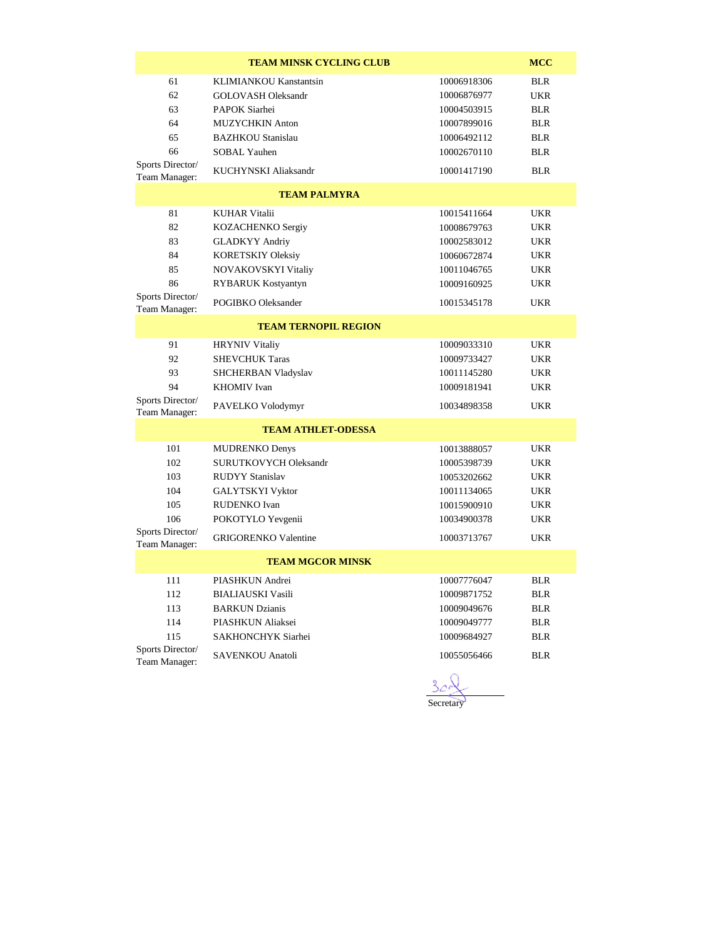| <b>TEAM MINSK CYCLING CLUB</b>                                        |                                                                                                                                                                           |                                                                                                       |                                                                                                |  |
|-----------------------------------------------------------------------|---------------------------------------------------------------------------------------------------------------------------------------------------------------------------|-------------------------------------------------------------------------------------------------------|------------------------------------------------------------------------------------------------|--|
| 61<br>62<br>63<br>64<br>65<br>66<br>Sports Director/<br>Team Manager: | KLIMIANKOU Kanstantsin<br><b>GOLOVASH Oleksandr</b><br>PAPOK Siarhei<br><b>MUZYCHKIN Anton</b><br><b>BAZHKOU Stanislau</b><br><b>SOBAL Yauhen</b><br>KUCHYNSKI Aliaksandr | 10006918306<br>10006876977<br>10004503915<br>10007899016<br>10006492112<br>10002670110<br>10001417190 | <b>BLR</b><br><b>UKR</b><br><b>BLR</b><br><b>BLR</b><br><b>BLR</b><br><b>BLR</b><br><b>BLR</b> |  |
|                                                                       | <b>TEAM PALMYRA</b>                                                                                                                                                       |                                                                                                       |                                                                                                |  |
| 81<br>82<br>83<br>84<br>85<br>86<br>Sports Director/                  | <b>KUHAR Vitalii</b><br>KOZACHENKO Sergiy<br><b>GLADKYY Andriy</b><br><b>KORETSKIY Oleksiy</b><br>NOVAKOVSKYI Vitaliy<br>RYBARUK Kostyantyn                               | 10015411664<br>10008679763<br>10002583012<br>10060672874<br>10011046765<br>10009160925                | <b>UKR</b><br><b>UKR</b><br><b>UKR</b><br><b>UKR</b><br><b>UKR</b><br><b>UKR</b>               |  |
| Team Manager:                                                         | POGIBKO Oleksander                                                                                                                                                        | 10015345178                                                                                           | <b>UKR</b>                                                                                     |  |
| <b>TEAM TERNOPIL REGION</b>                                           |                                                                                                                                                                           |                                                                                                       |                                                                                                |  |
| 91<br>92<br>93<br>94                                                  | <b>HRYNIV Vitaliy</b><br><b>SHEVCHUK Taras</b><br>SHCHERBAN Vladyslav<br><b>KHOMIV</b> Ivan                                                                               | 10009033310<br>10009733427<br>10011145280<br>10009181941                                              | <b>UKR</b><br><b>UKR</b><br><b>UKR</b><br><b>UKR</b>                                           |  |
| Sports Director/<br>Team Manager:                                     | PAVELKO Volodymyr                                                                                                                                                         | 10034898358                                                                                           | <b>UKR</b>                                                                                     |  |
| <b>TEAM ATHLET-ODESSA</b>                                             |                                                                                                                                                                           |                                                                                                       |                                                                                                |  |
| 101<br>102<br>103<br>104<br>105<br>106                                | <b>MUDRENKO Denys</b><br><b>SURUTKOVYCH Oleksandr</b><br><b>RUDYY Stanislav</b><br><b>GALYTSKYI Vyktor</b><br><b>RUDENKO</b> Ivan<br>POKOTYLO Yevgenii                    | 10013888057<br>10005398739<br>10053202662<br>10011134065<br>10015900910<br>10034900378                | <b>UKR</b><br><b>UKR</b><br><b>UKR</b><br><b>UKR</b><br><b>UKR</b><br><b>UKR</b>               |  |
| Sports Director/<br>Team Manager:                                     | <b>GRIGORENKO Valentine</b>                                                                                                                                               | 10003713767                                                                                           | <b>UKR</b>                                                                                     |  |
| <b>TEAM MGCOR MINSK</b>                                               |                                                                                                                                                                           |                                                                                                       |                                                                                                |  |
| 111<br>112<br>113<br>114<br>115<br>Sports Director/<br>Team Manager:  | PIASHKUN Andrei<br><b>BIALIAUSKI Vasili</b><br><b>BARKUN Dzianis</b><br>PIASHKUN Aliaksei<br>SAKHONCHYK Siarhei<br>SAVENKOU Anatoli                                       | 10007776047<br>10009871752<br>10009049676<br>10009049777<br>10009684927<br>10055056466                | <b>BLR</b><br><b>BLR</b><br><b>BLR</b><br><b>BLR</b><br><b>BLR</b><br><b>BLR</b>               |  |
|                                                                       |                                                                                                                                                                           |                                                                                                       |                                                                                                |  |

 $\frac{3c}{\sqrt{3c}}$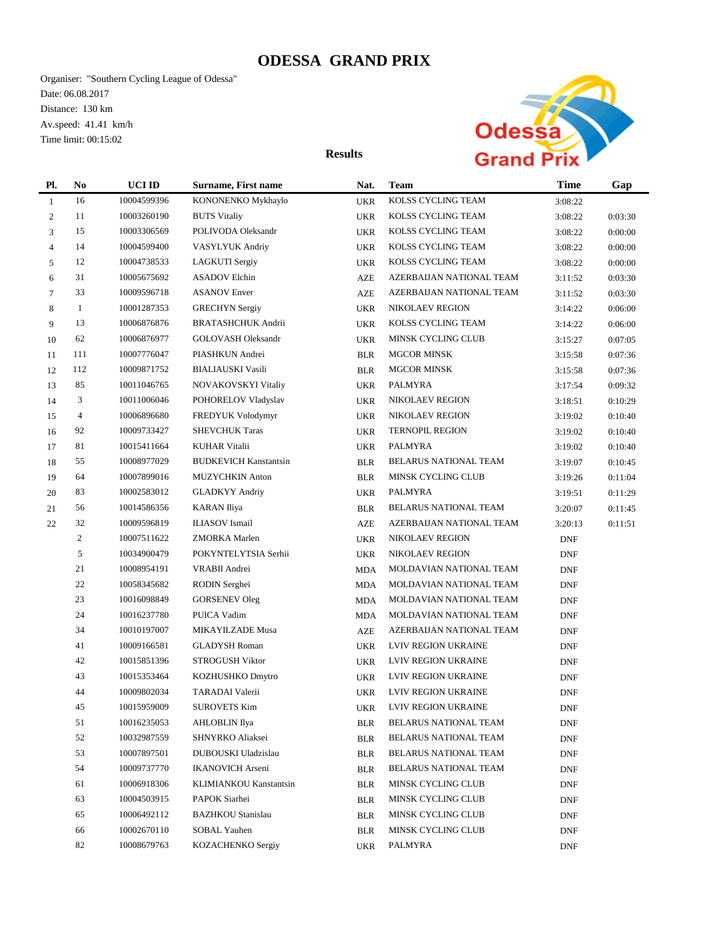## **ODESSA GRAND PRIX**

Organiser: "Southern Cycling League of Odessa" Date: 06.08.2017 Distance: 130 km Av.speed: 41.41 km/h Time limit: 00:15:02



**Results**

| Pl.          | N <sub>0</sub> | UCI ID      | Surname, First name          | Nat.       | <b>Team</b>                  | <b>Time</b> | Gap     |
|--------------|----------------|-------------|------------------------------|------------|------------------------------|-------------|---------|
| $\mathbf{1}$ | 16             | 10004599396 | KONONENKO Mykhaylo           | <b>UKR</b> | KOLSS CYCLING TEAM           | 3:08:22     |         |
| 2            | 11             | 10003260190 | <b>BUTS Vitaliy</b>          | <b>UKR</b> | KOLSS CYCLING TEAM           | 3:08:22     | 0:03:30 |
| 3            | 15             | 10003306569 | POLIVODA Oleksandr           | <b>UKR</b> | KOLSS CYCLING TEAM           | 3:08:22     | 0:00:00 |
| 4            | 14             | 10004599400 | VASYLYUK Andriy              | <b>UKR</b> | KOLSS CYCLING TEAM           | 3:08:22     | 0:00:00 |
| 5            | 12             | 10004738533 | LAGKUTI Sergiy               | <b>UKR</b> | KOLSS CYCLING TEAM           | 3:08:22     | 0:00:00 |
| 6            | 31             | 10005675692 | <b>ASADOV Elchin</b>         | <b>AZE</b> | AZERBAIJAN NATIONAL TEAM     | 3:11:52     | 0:03:30 |
| 7            | 33             | 10009596718 | <b>ASANOV Enver</b>          | <b>AZE</b> | AZERBAIJAN NATIONAL TEAM     | 3:11:52     | 0:03:30 |
| 8            | $\mathbf{1}$   | 10001287353 | <b>GRECHYN</b> Sergiy        | <b>UKR</b> | NIKOLAEV REGION              | 3:14:22     | 0:06:00 |
| 9            | 13             | 10006876876 | <b>BRATASHCHUK Andrii</b>    | <b>UKR</b> | KOLSS CYCLING TEAM           | 3:14:22     | 0:06:00 |
| 10           | 62             | 10006876977 | <b>GOLOVASH Oleksandr</b>    | <b>UKR</b> | MINSK CYCLING CLUB           | 3:15:27     | 0:07:05 |
| 11           | 111            | 10007776047 | PIASHKUN Andrei              | <b>BLR</b> | <b>MGCOR MINSK</b>           | 3:15:58     | 0:07:36 |
| 12           | 112            | 10009871752 | <b>BIALIAUSKI</b> Vasili     | <b>BLR</b> | <b>MGCOR MINSK</b>           | 3:15:58     | 0:07:36 |
| 13           | 85             | 10011046765 | NOVAKOVSKYI Vitaliy          | <b>UKR</b> | PALMYRA                      | 3:17:54     | 0:09:32 |
| 14           | 3              | 10011006046 | POHORELOV Vladyslav          | <b>UKR</b> | NIKOLAEV REGION              | 3:18:51     | 0:10:29 |
| 15           | $\overline{4}$ | 10006896680 | FREDYUK Volodymyr            | <b>UKR</b> | NIKOLAEV REGION              | 3:19:02     | 0:10:40 |
| 16           | 92             | 10009733427 | <b>SHEVCHUK Taras</b>        | <b>UKR</b> | <b>TERNOPIL REGION</b>       | 3:19:02     | 0:10:40 |
| 17           | 81             | 10015411664 | <b>KUHAR Vitalii</b>         | <b>UKR</b> | PALMYRA                      | 3:19:02     | 0:10:40 |
| 18           | 55             | 10008977029 | <b>BUDKEVICH Kanstantsin</b> | <b>BLR</b> | <b>BELARUS NATIONAL TEAM</b> | 3:19:07     | 0:10:45 |
| 19           | 64             | 10007899016 | <b>MUZYCHKIN Anton</b>       | <b>BLR</b> | MINSK CYCLING CLUB           | 3:19:26     | 0:11:04 |
| 20           | 83             | 10002583012 | <b>GLADKYY Andriy</b>        | <b>UKR</b> | PALMYRA                      | 3:19:51     | 0:11:29 |
| 21           | 56             | 10014586356 | KARAN Iliya                  | <b>BLR</b> | BELARUS NATIONAL TEAM        | 3:20:07     | 0:11:45 |
| $22\,$       | 32             | 10009596819 | <b>ILIASOV</b> Ismail        | AZE        | AZERBAIJAN NATIONAL TEAM     | 3:20:13     | 0:11:51 |
|              | $\sqrt{2}$     | 10007511622 | ZMORKA Marlen                | <b>UKR</b> | NIKOLAEV REGION              | <b>DNF</b>  |         |
|              | 5              | 10034900479 | POKYNTELYTSIA Serhii         | <b>UKR</b> | NIKOLAEV REGION              | <b>DNF</b>  |         |
|              | 21             | 10008954191 | VRABII Andrei                | <b>MDA</b> | MOLDAVIAN NATIONAL TEAM      | <b>DNF</b>  |         |
|              | 22             | 10058345682 | RODIN Serghei                | <b>MDA</b> | MOLDAVIAN NATIONAL TEAM      | <b>DNF</b>  |         |
|              | 23             | 10016098849 | <b>GORSENEV Oleg</b>         | <b>MDA</b> | MOLDAVIAN NATIONAL TEAM      | <b>DNF</b>  |         |
|              | 24             | 10016237780 | PUICA Vadim                  | <b>MDA</b> | MOLDAVIAN NATIONAL TEAM      | <b>DNF</b>  |         |
|              | 34             | 10010197007 | MIKAYILZADE Musa             | AZE        | AZERBAIJAN NATIONAL TEAM     | <b>DNF</b>  |         |
|              | 41             | 10009166581 | <b>GLADYSH Roman</b>         | <b>UKR</b> | <b>LVIV REGION UKRAINE</b>   | <b>DNF</b>  |         |
|              | 42             | 10015851396 | <b>STROGUSH Viktor</b>       | <b>UKR</b> | LVIV REGION UKRAINE          | <b>DNF</b>  |         |
|              | 43             | 10015353464 | KOZHUSHKO Dmytro             | <b>UKR</b> | LVIV REGION UKRAINE          | <b>DNF</b>  |         |
|              | 44             | 10009802034 | TARADAI Valerii              | <b>UKR</b> | <b>LVIV REGION UKRAINE</b>   | <b>DNF</b>  |         |
|              | 45             | 10015959009 | <b>SUROVETS Kim</b>          |            | UKR LVIV REGION UKRAINE      | <b>DNF</b>  |         |
|              | 51             | 10016235053 | <b>AHLOBLIN</b> Ilya         | <b>BLR</b> | <b>BELARUS NATIONAL TEAM</b> | DNF         |         |
|              | 52             | 10032987559 | SHNYRKO Aliaksei             | <b>BLR</b> | BELARUS NATIONAL TEAM        | DNF         |         |
|              | 53             | 10007897501 | DUBOUSKI Uladzislau          | <b>BLR</b> | BELARUS NATIONAL TEAM        | <b>DNF</b>  |         |
|              | 54             | 10009737770 | <b>IKANOVICH Arseni</b>      | <b>BLR</b> | BELARUS NATIONAL TEAM        | <b>DNF</b>  |         |
|              | 61             | 10006918306 | KLIMIANKOU Kanstantsin       | <b>BLR</b> | MINSK CYCLING CLUB           | <b>DNF</b>  |         |
|              | 63             | 10004503915 | PAPOK Siarhei                | <b>BLR</b> | MINSK CYCLING CLUB           | <b>DNF</b>  |         |
|              | 65             | 10006492112 | <b>BAZHKOU Stanislau</b>     | <b>BLR</b> | MINSK CYCLING CLUB           | DNF         |         |
|              | 66             | 10002670110 | <b>SOBAL Yauhen</b>          | <b>BLR</b> | MINSK CYCLING CLUB           | DNF         |         |
|              | 82             | 10008679763 | KOZACHENKO Sergiy            | <b>UKR</b> | PALMYRA                      | <b>DNF</b>  |         |